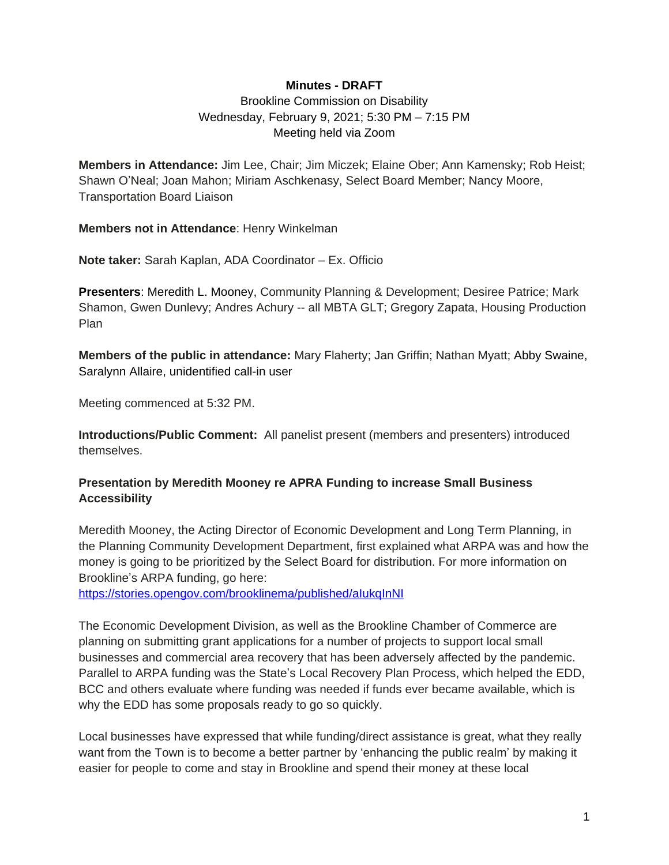### **Minutes - DRAFT**

Brookline Commission on Disability Wednesday, February 9, 2021; 5:30 PM – 7:15 PM Meeting held via Zoom

**Members in Attendance:** Jim Lee, Chair; Jim Miczek; Elaine Ober; Ann Kamensky; Rob Heist; Shawn O'Neal; Joan Mahon; Miriam Aschkenasy, Select Board Member; Nancy Moore, Transportation Board Liaison

**Members not in Attendance**: Henry Winkelman

**Note taker:** Sarah Kaplan, ADA Coordinator – Ex. Officio

**Presenters**: Meredith L. Mooney, Community Planning & Development; Desiree Patrice; Mark Shamon, Gwen Dunlevy; Andres Achury -- all MBTA GLT; Gregory Zapata, Housing Production Plan

**Members of the public in attendance:** Mary Flaherty; Jan Griffin; Nathan Myatt; Abby Swaine, Saralynn Allaire, unidentified call-in user

Meeting commenced at 5:32 PM.

**Introductions/Public Comment:** All panelist present (members and presenters) introduced themselves.

## **Presentation by Meredith Mooney re APRA Funding to increase Small Business Accessibility**

Meredith Mooney, the Acting Director of Economic Development and Long Term Planning, in the Planning Community Development Department, first explained what ARPA was and how the money is going to be prioritized by the Select Board for distribution. For more information on Brookline's ARPA funding, go here:

<https://stories.opengov.com/brooklinema/published/aIukqInNI>

The Economic Development Division, as well as the Brookline Chamber of Commerce are planning on submitting grant applications for a number of projects to support local small businesses and commercial area recovery that has been adversely affected by the pandemic. Parallel to ARPA funding was the State's Local Recovery Plan Process, which helped the EDD, BCC and others evaluate where funding was needed if funds ever became available, which is why the EDD has some proposals ready to go so quickly.

Local businesses have expressed that while funding/direct assistance is great, what they really want from the Town is to become a better partner by 'enhancing the public realm' by making it easier for people to come and stay in Brookline and spend their money at these local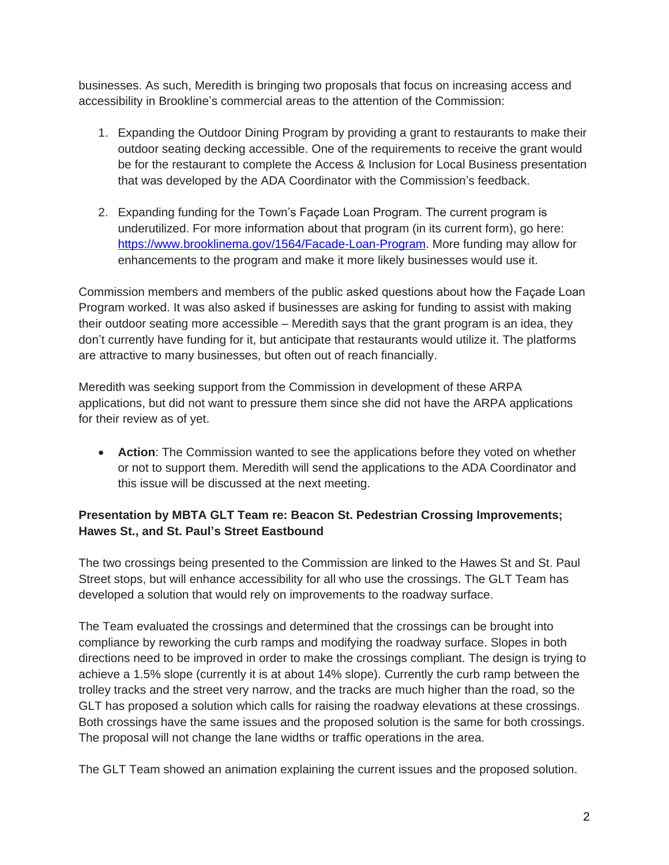businesses. As such, Meredith is bringing two proposals that focus on increasing access and accessibility in Brookline's commercial areas to the attention of the Commission:

- 1. Expanding the Outdoor Dining Program by providing a grant to restaurants to make their outdoor seating decking accessible. One of the requirements to receive the grant would be for the restaurant to complete the Access & Inclusion for Local Business presentation that was developed by the ADA Coordinator with the Commission's feedback.
- 2. Expanding funding for the Town's Façade Loan Program. The current program is underutilized. For more information about that program (in its current form), go here: [https://www.brooklinema.gov/1564/Facade-Loan-Program.](https://www.brooklinema.gov/1564/Facade-Loan-Program) More funding may allow for enhancements to the program and make it more likely businesses would use it.

Commission members and members of the public asked questions about how the Façade Loan Program worked. It was also asked if businesses are asking for funding to assist with making their outdoor seating more accessible – Meredith says that the grant program is an idea, they don't currently have funding for it, but anticipate that restaurants would utilize it. The platforms are attractive to many businesses, but often out of reach financially.

Meredith was seeking support from the Commission in development of these ARPA applications, but did not want to pressure them since she did not have the ARPA applications for their review as of yet.

 **Action**: The Commission wanted to see the applications before they voted on whether or not to support them. Meredith will send the applications to the ADA Coordinator and this issue will be discussed at the next meeting.

# **Presentation by MBTA GLT Team re: Beacon St. Pedestrian Crossing Improvements; Hawes St., and St. Paul's Street Eastbound**

The two crossings being presented to the Commission are linked to the Hawes St and St. Paul Street stops, but will enhance accessibility for all who use the crossings. The GLT Team has developed a solution that would rely on improvements to the roadway surface.

The Team evaluated the crossings and determined that the crossings can be brought into compliance by reworking the curb ramps and modifying the roadway surface. Slopes in both directions need to be improved in order to make the crossings compliant. The design is trying to achieve a 1.5% slope (currently it is at about 14% slope). Currently the curb ramp between the trolley tracks and the street very narrow, and the tracks are much higher than the road, so the GLT has proposed a solution which calls for raising the roadway elevations at these crossings. Both crossings have the same issues and the proposed solution is the same for both crossings. The proposal will not change the lane widths or traffic operations in the area.

The GLT Team showed an animation explaining the current issues and the proposed solution.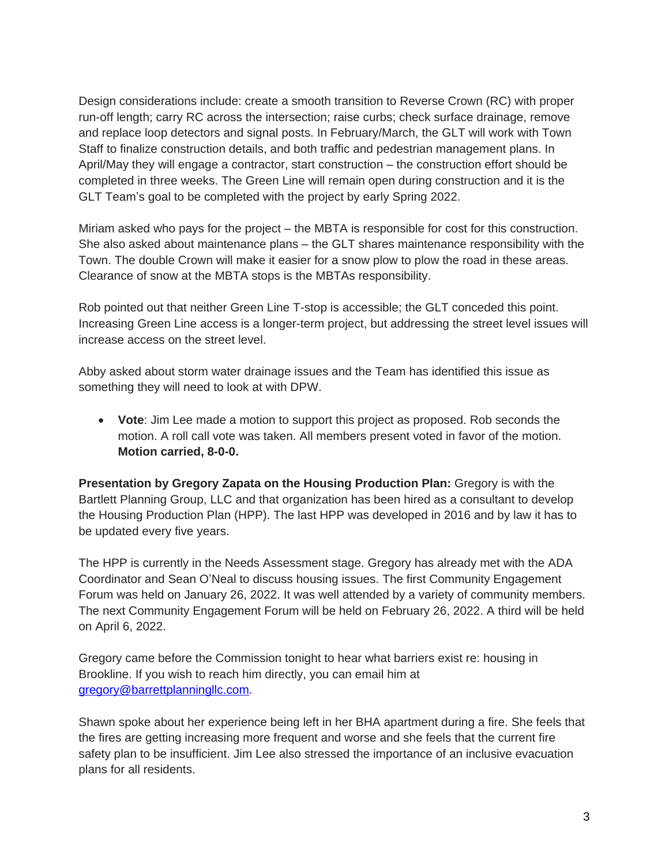Design considerations include: create a smooth transition to Reverse Crown (RC) with proper run-off length; carry RC across the intersection; raise curbs; check surface drainage, remove and replace loop detectors and signal posts. In February/March, the GLT will work with Town Staff to finalize construction details, and both traffic and pedestrian management plans. In April/May they will engage a contractor, start construction – the construction effort should be completed in three weeks. The Green Line will remain open during construction and it is the GLT Team's goal to be completed with the project by early Spring 2022.

Miriam asked who pays for the project – the MBTA is responsible for cost for this construction. She also asked about maintenance plans – the GLT shares maintenance responsibility with the Town. The double Crown will make it easier for a snow plow to plow the road in these areas. Clearance of snow at the MBTA stops is the MBTAs responsibility.

Rob pointed out that neither Green Line T-stop is accessible; the GLT conceded this point. Increasing Green Line access is a longer-term project, but addressing the street level issues will increase access on the street level.

Abby asked about storm water drainage issues and the Team has identified this issue as something they will need to look at with DPW.

 **Vote**: Jim Lee made a motion to support this project as proposed. Rob seconds the motion. A roll call vote was taken. All members present voted in favor of the motion. **Motion carried, 8-0-0.**

**Presentation by Gregory Zapata on the Housing Production Plan:** Gregory is with the Bartlett Planning Group, LLC and that organization has been hired as a consultant to develop the Housing Production Plan (HPP). The last HPP was developed in 2016 and by law it has to be updated every five years.

The HPP is currently in the Needs Assessment stage. Gregory has already met with the ADA Coordinator and Sean O'Neal to discuss housing issues. The first Community Engagement Forum was held on January 26, 2022. It was well attended by a variety of community members. The next Community Engagement Forum will be held on February 26, 2022. A third will be held on April 6, 2022.

Gregory came before the Commission tonight to hear what barriers exist re: housing in Brookline. If you wish to reach him directly, you can email him at [gregory@barrettplanningllc.com](mailto:gregory@barrettplanningllc.com).

Shawn spoke about her experience being left in her BHA apartment during a fire. She feels that the fires are getting increasing more frequent and worse and she feels that the current fire safety plan to be insufficient. Jim Lee also stressed the importance of an inclusive evacuation plans for all residents.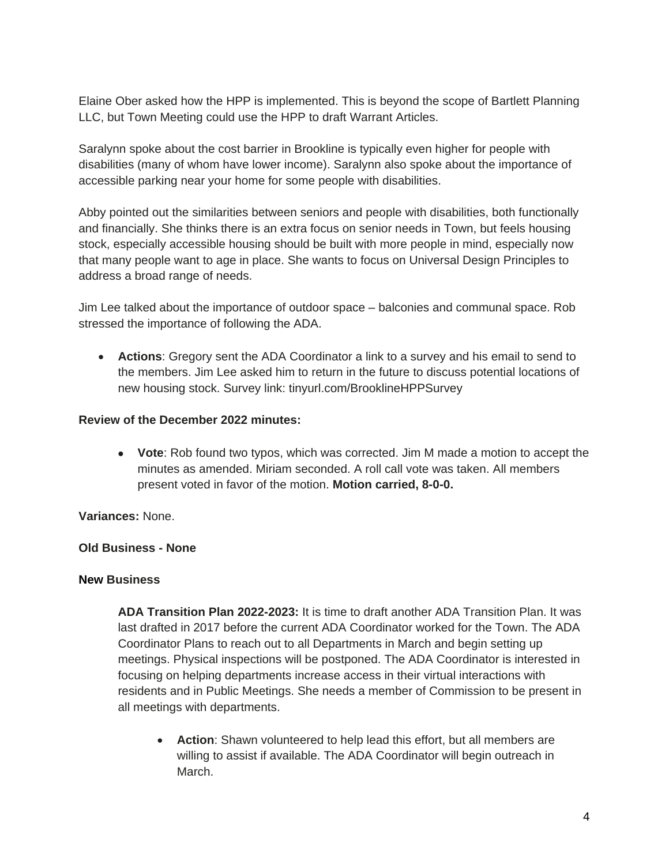Elaine Ober asked how the HPP is implemented. This is beyond the scope of Bartlett Planning LLC, but Town Meeting could use the HPP to draft Warrant Articles.

Saralynn spoke about the cost barrier in Brookline is typically even higher for people with disabilities (many of whom have lower income). Saralynn also spoke about the importance of accessible parking near your home for some people with disabilities.

Abby pointed out the similarities between seniors and people with disabilities, both functionally and financially. She thinks there is an extra focus on senior needs in Town, but feels housing stock, especially accessible housing should be built with more people in mind, especially now that many people want to age in place. She wants to focus on Universal Design Principles to address a broad range of needs.

Jim Lee talked about the importance of outdoor space – balconies and communal space. Rob stressed the importance of following the ADA.

 **Actions**: Gregory sent the ADA Coordinator a link to a survey and his email to send to the members. Jim Lee asked him to return in the future to discuss potential locations of new housing stock. Survey link: tinyurl.com/BrooklineHPPSurvey

### **Review of the December 2022 minutes:**

 **Vote**: Rob found two typos, which was corrected. Jim M made a motion to accept the minutes as amended. Miriam seconded. A roll call vote was taken. All members present voted in favor of the motion. **Motion carried, 8-0-0.**

**Variances:** None.

## **Old Business - None**

#### **New Business**

**ADA Transition Plan 2022-2023:** It is time to draft another ADA Transition Plan. It was last drafted in 2017 before the current ADA Coordinator worked for the Town. The ADA Coordinator Plans to reach out to all Departments in March and begin setting up meetings. Physical inspections will be postponed. The ADA Coordinator is interested in focusing on helping departments increase access in their virtual interactions with residents and in Public Meetings. She needs a member of Commission to be present in all meetings with departments.

 **Action**: Shawn volunteered to help lead this effort, but all members are willing to assist if available. The ADA Coordinator will begin outreach in March.